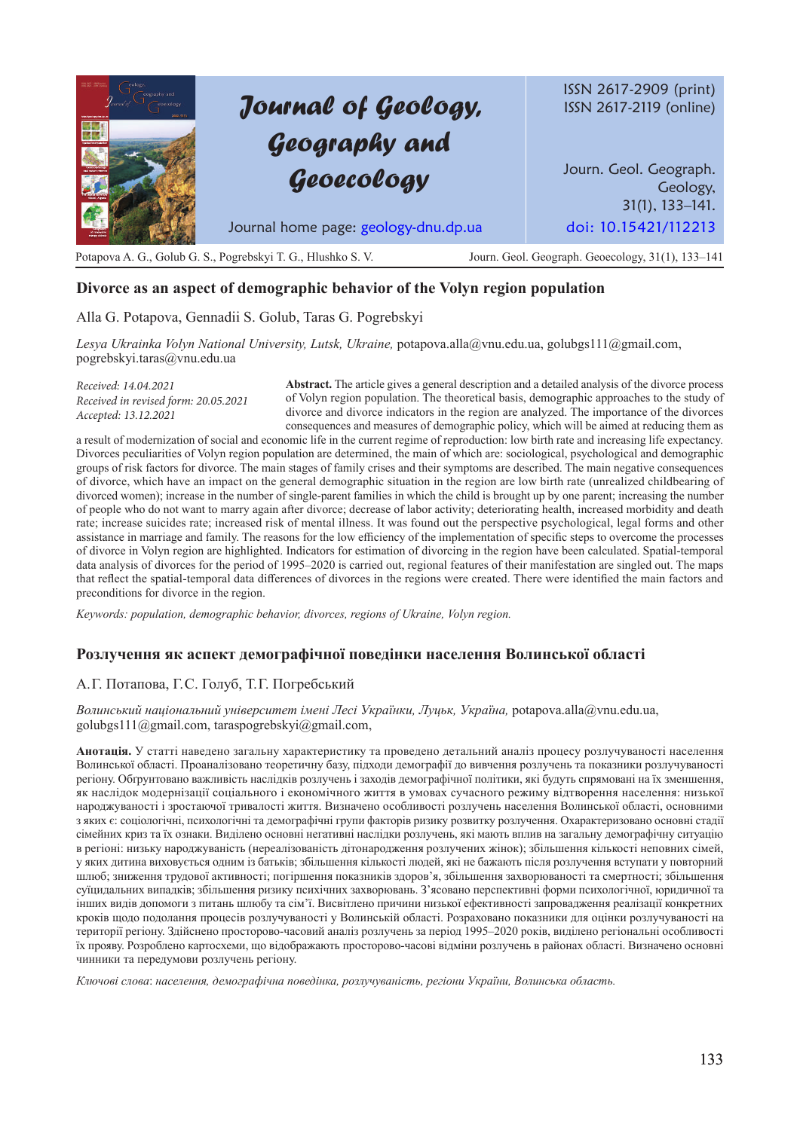# *Journal of Geology, Geography and Geoecology*

ISSN 2617-2909 (print) ISSN 2617-2119 (online)

Journ. Geol. Geograph. Geology, 31(1), 133–141. Journal home page: geology-dnu.dp.ua doi: 10.15421/112213

Potapova A. G., Golub G. S., Pogrebskyi T. G., Hlushko S. V. Journ. Geol. Geograph. Geoecology, 31(1), 133–141

## **Divorce as an aspect of demographic behavior of the Volyn region population**

Alla G. Potapova, Gennadii S. Golub, Taras G. Pogrebskyi

*Lesya Ukrainka Volyn National University, Lutsk, Ukraine,* potapova.alla@vnu.edu.ua, golubgs111@gmail.com, pogrebskyi.taras@vnu.edu.ua

*Received: 14.04.2021 Received in revised form: 20.05.2021 Accepted: 13.12.2021*

**Abstract.** The article gives a general description and a detailed analysis of the divorce process of Volyn region population. The theoretical basis, demographic approaches to the study of divorce and divorce indicators in the region are analyzed. The importance of the divorces consequences and measures of demographic policy, which will be aimed at reducing them as

a result of modernization of social and economic life in the current regime of reproduction: low birth rate and increasing life expectancy. Divorces peculiarities of Volyn region population are determined, the main of which are: sociological, psychological and demographic groups of risk factors for divorce. The main stages of family crises and their symptoms are described. The main negative consequences of divorce, which have an impact on the general demographic situation in the region are low birth rate (unrealized childbearing of divorced women); increase in the number of single-parent families in which the child is brought up by one parent; increasing the number of people who do not want to marry again after divorce; decrease of labor activity; deteriorating health, increased morbidity and death rate; increase suicides rate; increased risk of mental illness. It was found out the perspective psychological, legal forms and other assistance in marriage and family. The reasons for the low efficiency of the implementation of specific steps to overcome the processes of divorce in Volyn region are highlighted. Indicators for estimation of divorcing in the region have been calculated. Spatial-temporal data analysis of divorces for the period of 1995–2020 is carried out, regional features of their manifestation are singled out. The maps that reflect the spatial-temporal data differences of divorces in the regions were created. There were identified the main factors and preconditions for divorce in the region.

*Keywords: population, demographic behavior, divorces, regions of Ukraine, Volyn region.*

## **Розлучення як аспект демографічної поведінки населення Волинської області**

## А. Г. Потапова, Г. С. Голуб, Т. Г. Погребський

*Волинський національний університет імені Лесі Українки, Луцьк, Україна,* potapova.alla@vnu.edu.ua, golubgs111@gmail.com, taraspogrebskyi@gmail.com,

**Анотація.** У статті наведено загальну характеристику та проведено детальний аналіз процесу розлучуваності населення Волинської області. Проаналізовано теоретичну базу, підходи демографії до вивчення розлучень та показники розлучуваності регіону. Обґрунтовано важливість наслідків розлучень і заходів демографічної політики, які будуть спрямовані на їх зменшення, як наслідок модернізації соціального і економічного життя в умовах сучасного режиму відтворення населення: низької народжуваності і зростаючої тривалості життя. Визначено особливості розлучень населення Волинської області, основними з яких є: соціологічні, психологічні та демографічні групи факторів ризику розвитку розлучення. Охарактеризовано основні стадії сімейних криз та їх ознаки. Виділено основні негативні наслідки розлучень, які мають вплив на загальну демографічну ситуацію в регіоні: низьку народжуваність (нереалізованість дітонародження розлучених жінок); збільшення кількості неповних сімей, у яких дитина виховується одним із батьків; збільшення кількості людей, які не бажають після розлучення вступати у повторний шлюб; зниження трудової активності; погіршення показників здоров'я, збільшення захворюваності та смертності; збільшення суїцидальних випадків; збільшення ризику психічних захворювань. З'ясовано перспективні форми психологічної, юридичної та інших видів допомоги з питань шлюбу та сім'ї. Висвітлено причини низької ефективності запровадження реалізації конкретних кроків щодо подолання процесів розлучуваності у Волинській області. Розраховано показники для оцінки розлучуваності на території регіону. Здійснено просторово-часовий аналіз розлучень за період 1995–2020 років, виділено регіональні особливості їх прояву. Розроблено картосхеми, що відображають просторово-часові відміни розлучень в районах області. Визначено основні чинники та передумови розлучень регіону.

*Ключові слова*: *населення, демографічна поведінка, розлучуваність, регіони України, Волинська область.*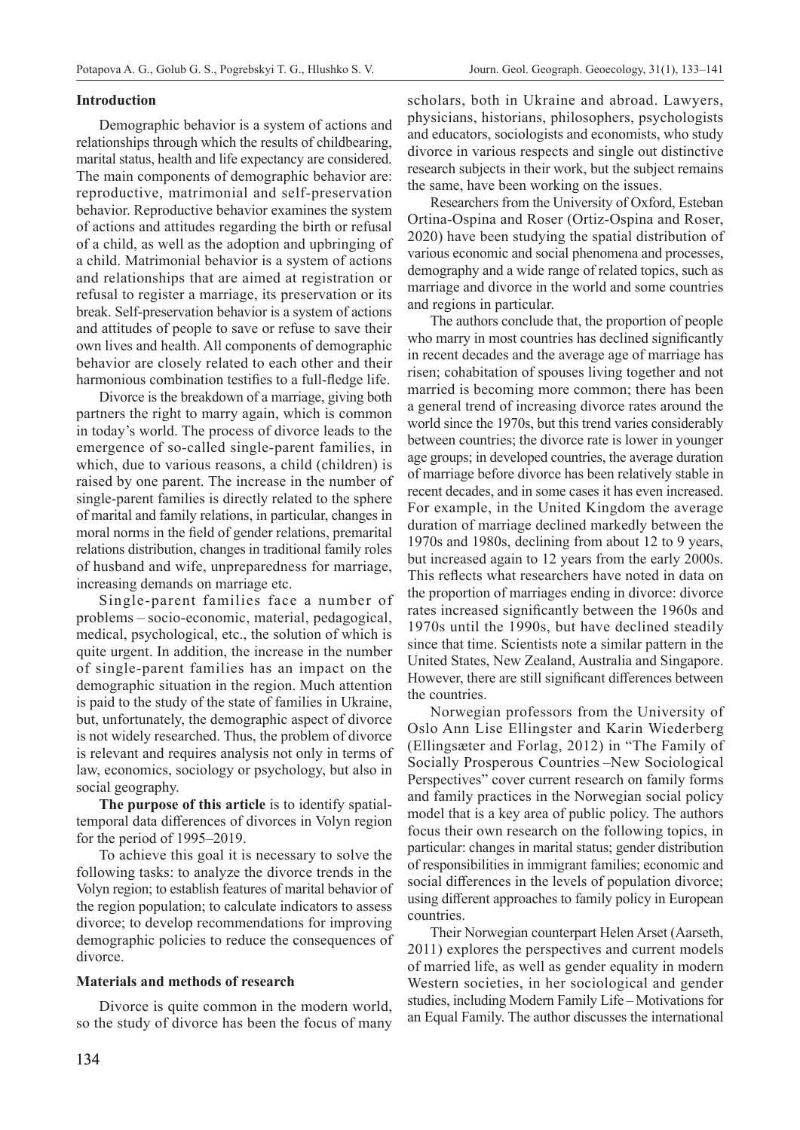#### **Introduction**

Demographic behavior is a system of actions and relationships through which the results of childbearing, marital status, health and life expectancy are considered. The main components of demographic behavior are: reproductive, matrimonial and self-preservation behavior. Reproductive behavior examines the system of actions and attitudes regarding the birth or refusal of a child, as well as the adoption and upbringing of a child. Matrimonial behavior is a system of actions and relationships that are aimed at registration or refusal to register a marriage, its preservation or its break. Self-preservation behavior is a system of actions and attitudes of people to save or refuse to save their own lives and health. All components of demographic behavior are closely related to each other and their harmonious combination testifies to a full-fledge life.

Divorce is the breakdown of a marriage, giving both partners the right to marry again, which is common in today's world. The process of divorce leads to the emergence of so-called single-parent families, in which, due to various reasons, a child (children) is raised by one parent. The increase in the number of single-parent families is directly related to the sphere of marital and family relations, in particular, changes in moral norms in the field of gender relations, premarital relations distribution, changes in traditional family roles of husband and wife, unpreparedness for marriage, increasing demands on marriage etc.

Single-parent families face a number of problems – socio-economic, material, pedagogical, medical, psychological, etc., the solution of which is quite urgent. In addition, the increase in the number of single-parent families has an impact on the demographic situation in the region. Much attention is paid to the study of the state of families in Ukraine, but, unfortunately, the demographic aspect of divorce is not widely researched. Thus, the problem of divorce is relevant and requires analysis not only in terms of law, economics, sociology or psychology, but also in social geography.

**The purpose of this article** is to identify spatialtemporal data differences of divorces in Volyn region for the period of 1995–2019.

To achieve this goal it is necessary to solve the following tasks: to analyze the divorce trends in the Volyn region; to establish features of marital behavior of the region population; to calculate indicators to assess divorce; to develop recommendations for improving demographic policies to reduce the consequences of divorce.

### **Materials and methods of research**

Divorce is quite common in the modern world, so the study of divorce has been the focus of many

scholars, both in Ukraine and abroad. Lawyers, physicians, historians, philosophers, psychologists and educators, sociologists and economists, who study divorce in various respects and single out distinctive research subjects in their work, but the subject remains the same, have been working on the issues.

Researchers from the University of Oxford, Esteban Ortina-Ospina and Roser (Ortiz-Ospina and Roser, 2020) have been studying the spatial distribution of various economic and social phenomena and processes, demography and a wide range of related topics, such as marriage and divorce in the world and some countries and regions in particular.

The authors conclude that, the proportion of people who marry in most countries has declined significantly in recent decades and the average age of marriage has risen; cohabitation of spouses living together and not married is becoming more common; there has been a general trend of increasing divorce rates around the world since the 1970s, but this trend varies considerably between countries; the divorce rate is lower in younger age groups; in developed countries, the average duration of marriage before divorce has been relatively stable in recent decades, and in some cases it has even increased. For example, in the United Kingdom the average duration of marriage declined markedly between the 1970s and 1980s, declining from about 12 to 9 years, but increased again to 12 years from the early 2000s. This reflects what researchers have noted in data on the proportion of marriages ending in divorce: divorce rates increased significantly between the 1960s and 1970s until the 1990s, but have declined steadily since that time. Scientists note a similar pattern in the United States, New Zealand, Australia and Singapore. However, there are still significant differences between the countries.

Norwegian professors from the University of Oslo Ann Lise Ellingster and Karin Wiederberg (Ellingsæter and Forlag, 2012) in "The Family of Socially Prosperous Countries –New Sociological Perspectives" cover current research on family forms and family practices in the Norwegian social policy model that is a key area of public policy. The authors focus their own research on the following topics, in particular: changes in marital status; gender distribution of responsibilities in immigrant families; economic and social differences in the levels of population divorce; using different approaches to family policy in European countries.

Their Norwegian counterpart Helen Arset (Aarseth, 2011) explores the perspectives and current models of married life, as well as gender equality in modern Western societies, in her sociological and gender studies, including Modern Family Life – Motivations for an Equal Family. The author discusses the international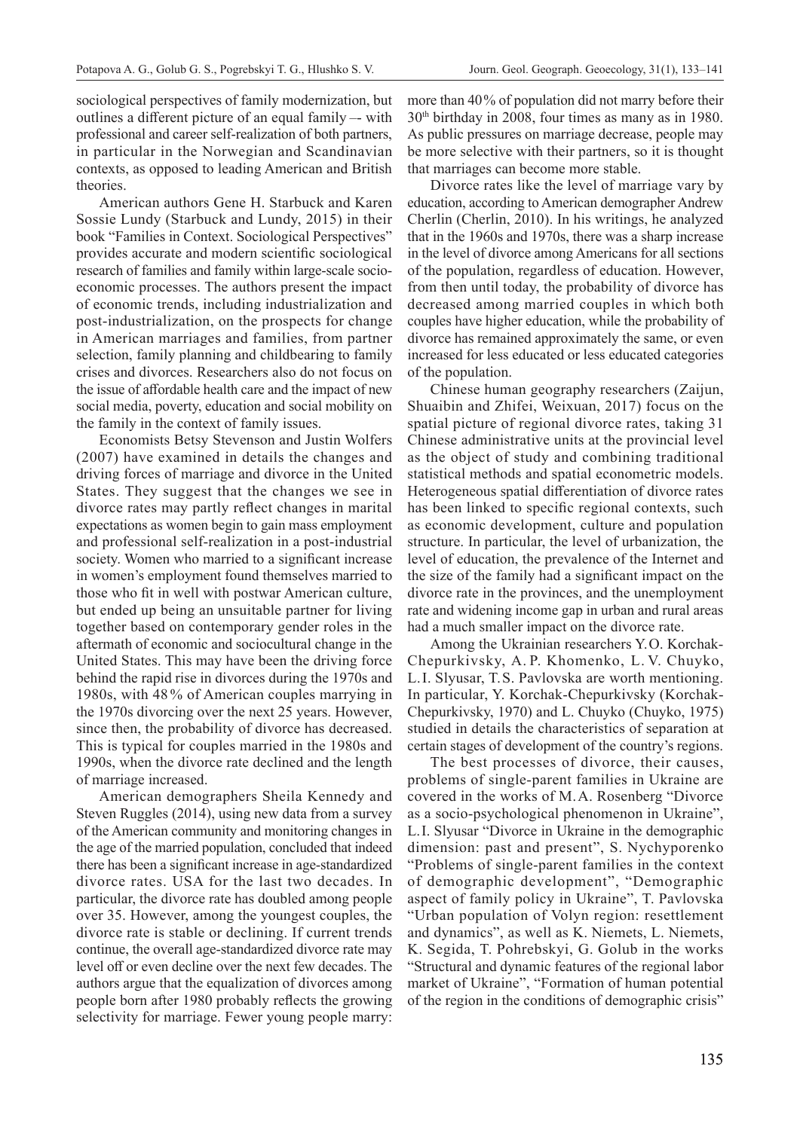sociological perspectives of family modernization, but outlines a different picture of an equal family –- with professional and career self-realization of both partners, in particular in the Norwegian and Scandinavian contexts, as opposed to leading American and British theories.

American authors Gene H. Starbuck and Karen Sossie Lundy (Starbuck and Lundy, 2015) in their book "Families in Context. Sociological Perspectives" provides accurate and modern scientific sociological research of families and family within large-scale socioeconomic processes. The authors present the impact of economic trends, including industrialization and post-industrialization, on the prospects for change in American marriages and families, from partner selection, family planning and childbearing to family crises and divorces. Researchers also do not focus on the issue of affordable health care and the impact of new social media, poverty, education and social mobility on the family in the context of family issues.

Economists Betsy Stevenson and Justin Wolfers (2007) have examined in details the changes and driving forces of marriage and divorce in the United States. They suggest that the changes we see in divorce rates may partly reflect changes in marital expectations as women begin to gain mass employment and professional self-realization in a post-industrial society. Women who married to a significant increase in women's employment found themselves married to those who fit in well with postwar American culture, but ended up being an unsuitable partner for living together based on contemporary gender roles in the aftermath of economic and sociocultural change in the United States. This may have been the driving force behind the rapid rise in divorces during the 1970s and 1980s, with 48 % of American couples marrying in the 1970s divorcing over the next 25 years. However, since then, the probability of divorce has decreased. This is typical for couples married in the 1980s and 1990s, when the divorce rate declined and the length of marriage increased.

American demographers Sheila Kennedy and Steven Ruggles (2014), using new data from a survey of the American community and monitoring changes in the age of the married population, concluded that indeed there has been a significant increase in age-standardized divorce rates. USA for the last two decades. In particular, the divorce rate has doubled among people over 35. However, among the youngest couples, the divorce rate is stable or declining. If current trends continue, the overall age-standardized divorce rate may level off or even decline over the next few decades. The authors argue that the equalization of divorces among people born after 1980 probably reflects the growing selectivity for marriage. Fewer young people marry:

more than 40% of population did not marry before their 30th birthday in 2008, four times as many as in 1980. As public pressures on marriage decrease, people may be more selective with their partners, so it is thought that marriages can become more stable.

Divorce rates like the level of marriage vary by education, according to American demographer Andrew Cherlin (Cherlin, 2010). In his writings, he analyzed that in the 1960s and 1970s, there was a sharp increase in the level of divorce among Americans for all sections of the population, regardless of education. However, from then until today, the probability of divorce has decreased among married couples in which both couples have higher education, while the probability of divorce has remained approximately the same, or even increased for less educated or less educated categories of the population.

Chinese human geography researchers (Zaijun, Shuaibin and Zhifei, Weixuan, 2017) focus on the spatial picture of regional divorce rates, taking 31 Chinese administrative units at the provincial level as the object of study and combining traditional statistical methods and spatial econometric models. Heterogeneous spatial differentiation of divorce rates has been linked to specific regional contexts, such as economic development, culture and population structure. In particular, the level of urbanization, the level of education, the prevalence of the Internet and the size of the family had a significant impact on the divorce rate in the provinces, and the unemployment rate and widening income gap in urban and rural areas had a much smaller impact on the divorce rate.

Among the Ukrainian researchers Y. O. Korchak-Chepurkivsky, A. P. Khomenko, L. V. Chuyko, L. I. Slyusar, T. S. Pavlovska are worth mentioning. In particular, Y. Korchak-Chepurkivsky (Korchak-Chepurkivsky, 1970) and L. Chuyko (Chuyko, 1975) studied in details the characteristics of separation at certain stages of development of the country's regions.

The best processes of divorce, their causes, problems of single-parent families in Ukraine are covered in the works of M. A. Rosenberg "Divorce as a socio-psychological phenomenon in Ukraine", L. I. Slyusar "Divorce in Ukraine in the demographic dimension: past and present", S. Nychyporenko "Problems of single-parent families in the context of demographic development", "Demographic aspect of family policy in Ukraine", T. Pavlovska "Urban population of Volyn region: resettlement and dynamics", as well as K. Niemets, L. Niemets, K. Segida, T. Pohrebskyi, G. Golub in the works "Structural and dynamic features of the regional labor market of Ukraine", "Formation of human potential of the region in the conditions of demographic crisis"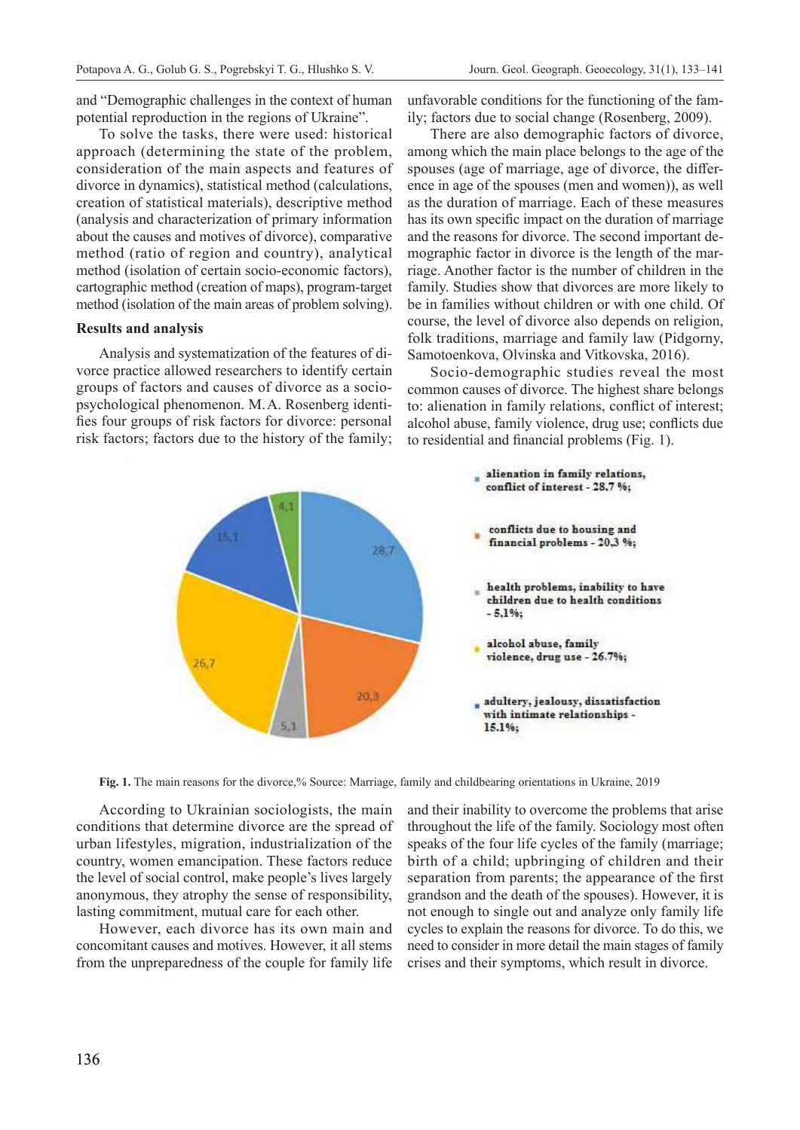and "Demographic challenges in the context of human potential reproduction in the regions of Ukraine".

To solve the tasks, there were used: historical approach (determining the state of the problem, consideration of the main aspects and features of divorce in dynamics), statistical method (calculations, creation of statistical materials), descriptive method (analysis and characterization of primary information about the causes and motives of divorce), comparative method (ratio of region and country), analytical method (isolation of certain socio-economic factors), cartographic method (creation of maps), program-target method (isolation of the main areas of problem solving).

#### **Results and analysis**

Analysis and systematization of the features of divorce practice allowed researchers to identify certain groups of factors and causes of divorce as a sociopsychological phenomenon. M. A. Rosenberg identifies four groups of risk factors for divorce: personal risk factors; factors due to the history of the family; unfavorable conditions for the functioning of the family; factors due to social change (Rosenberg, 2009).

There are also demographic factors of divorce, among which the main place belongs to the age of the spouses (age of marriage, age of divorce, the difference in age of the spouses (men and women)), as well as the duration of marriage. Each of these measures has its own specific impact on the duration of marriage and the reasons for divorce. The second important demographic factor in divorce is the length of the marriage. Another factor is the number of children in the family. Studies show that divorces are more likely to be in families without children or with one child. Of course, the level of divorce also depends on religion, folk traditions, marriage and family law (Pidgorny, Samotoenkova, Olvinska and Vitkovska, 2016).

Socio-demographic studies reveal the most common causes of divorce. The highest share belongs to: alienation in family relations, conflict of interest; alcohol abuse, family violence, drug use; conflicts due to residential and financial problems (Fig. 1).



**Fig. 1.** The main reasons for the divorce,% Source: Marriage, family and childbearing orientations in Ukraine, 2019

According to Ukrainian sociologists, the main conditions that determine divorce are the spread of urban lifestyles, migration, industrialization of the country, women emancipation. These factors reduce the level of social control, make people's lives largely anonymous, they atrophy the sense of responsibility, lasting commitment, mutual care for each other.

However, each divorce has its own main and concomitant causes and motives. However, it all stems from the unpreparedness of the couple for family life and their inability to overcome the problems that arise throughout the life of the family. Sociology most often speaks of the four life cycles of the family (marriage; birth of a child; upbringing of children and their separation from parents; the appearance of the first grandson and the death of the spouses). However, it is not enough to single out and analyze only family life cycles to explain the reasons for divorce. To do this, we need to consider in more detail the main stages of family crises and their symptoms, which result in divorce.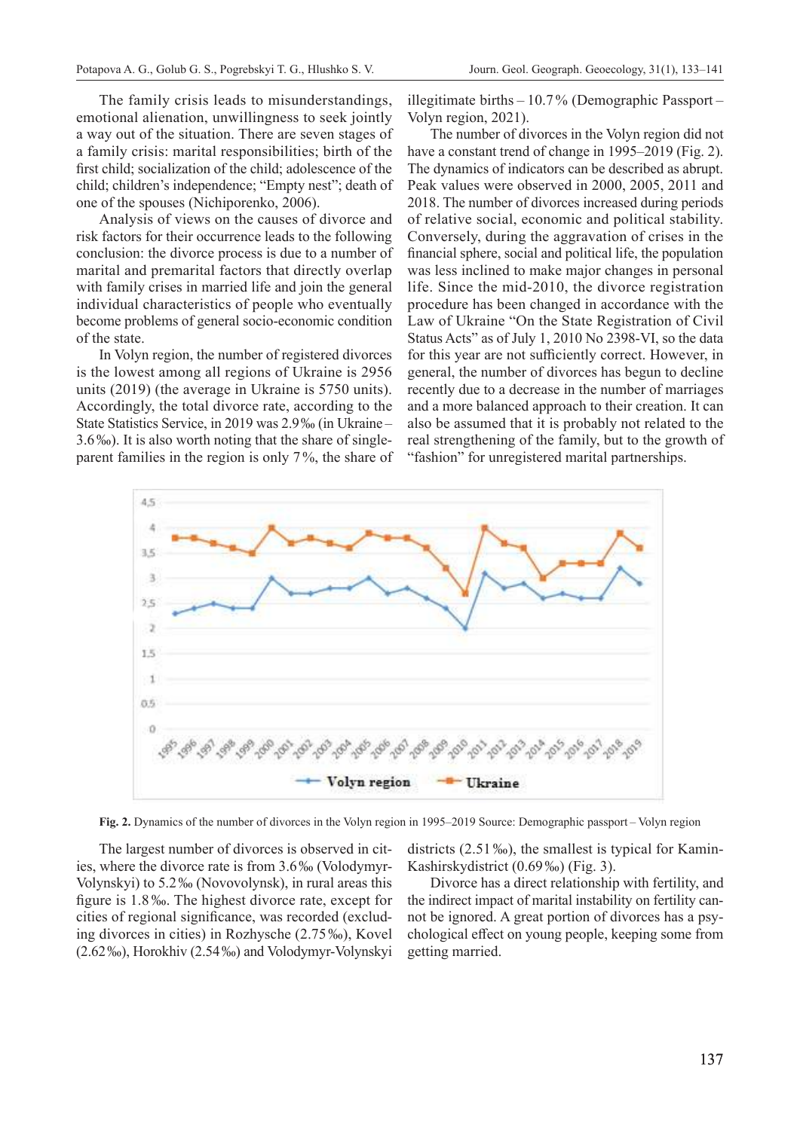The family crisis leads to misunderstandings, emotional alienation, unwillingness to seek jointly a way out of the situation. There are seven stages of a family crisis: marital responsibilities; birth of the first child; socialization of the child; adolescence of the child; children's independence; "Empty nest"; death of one of the spouses (Nichiporenko, 2006).

Analysis of views on the causes of divorce and risk factors for their occurrence leads to the following conclusion: the divorce process is due to a number of marital and premarital factors that directly overlap with family crises in married life and join the general individual characteristics of people who eventually become problems of general socio-economic condition of the state.

In Volyn region, the number of registered divorces is the lowest among all regions of Ukraine is 2956 units (2019) (the average in Ukraine is 5750 units). Accordingly, the total divorce rate, according to the State Statistics Service, in 2019 was 2.9‰ (in Ukraine – 3.6‰). It is also worth noting that the share of singleparent families in the region is only 7%, the share of illegitimate births – 10.7% (Demographic Passport – Volyn region, 2021).

The number of divorces in the Volyn region did not have a constant trend of change in 1995–2019 (Fig. 2). The dynamics of indicators can be described as abrupt. Peak values were observed in 2000, 2005, 2011 and 2018. The number of divorces increased during periods of relative social, economic and political stability. Conversely, during the aggravation of crises in the financial sphere, social and political life, the population was less inclined to make major changes in personal life. Since the mid-2010, the divorce registration procedure has been changed in accordance with the Law of Ukraine "On the State Registration of Civil Status Acts" as of July 1, 2010 No 2398-VI, so the data for this year are not sufficiently correct. However, in general, the number of divorces has begun to decline recently due to a decrease in the number of marriages and a more balanced approach to their creation. It can also be assumed that it is probably not related to the real strengthening of the family, but to the growth of "fashion" for unregistered marital partnerships.



**Fig. 2.** Dynamics of the number of divorces in the Volyn region in 1995–2019 Source: Demographic passport – Volyn region

The largest number of divorces is observed in cities, where the divorce rate is from 3.6‰ (Volodymyr-Volynskyi) to 5.2‰ (Novovolynsk), in rural areas this figure is 1.8‰. The highest divorce rate, except for cities of regional significance, was recorded (excluding divorces in cities) in Rozhysche (2.75‰), Kovel (2.62‰), Horokhiv (2.54‰) and Volodymyr-Volynskyi

districts (2.51‰), the smallest is typical for Kamin-Kashirskydistrict (0.69‰) (Fig. 3).

Divorce has a direct relationship with fertility, and the indirect impact of marital instability on fertility cannot be ignored. A great portion of divorces has a psychological effect on young people, keeping some from getting married.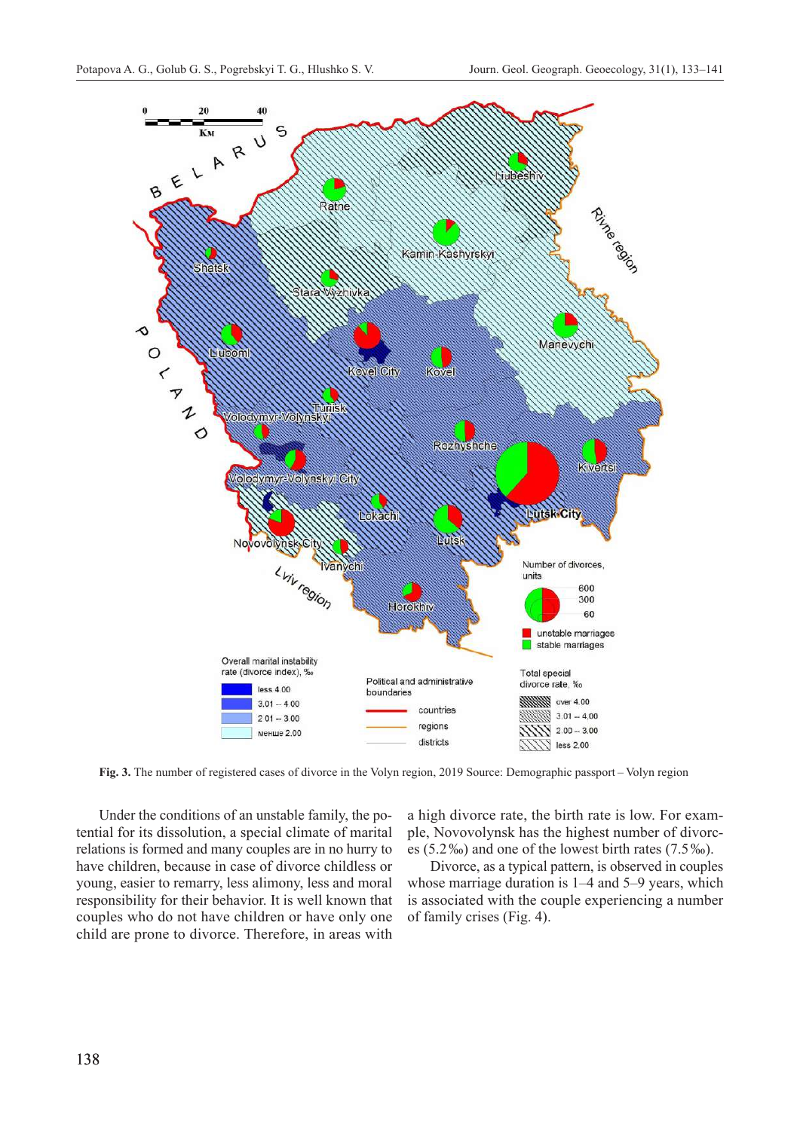

**Fig. 3.** The number of registered cases of divorce in the Volyn region, 2019 Source: Demographic passport – Volyn region

Under the conditions of an unstable family, the potential for its dissolution, a special climate of marital relations is formed and many couples are in no hurry to have children, because in case of divorce childless or young, easier to remarry, less alimony, less and moral responsibility for their behavior. It is well known that couples who do not have children or have only one child are prone to divorce. Therefore, in areas with

a high divorce rate, the birth rate is low. For example, Novovolynsk has the highest number of divorces (5.2‰) and one of the lowest birth rates (7.5‰).

Divorce, as a typical pattern, is observed in couples whose marriage duration is 1–4 and 5–9 years, which is associated with the couple experiencing a number of family crises (Fig. 4).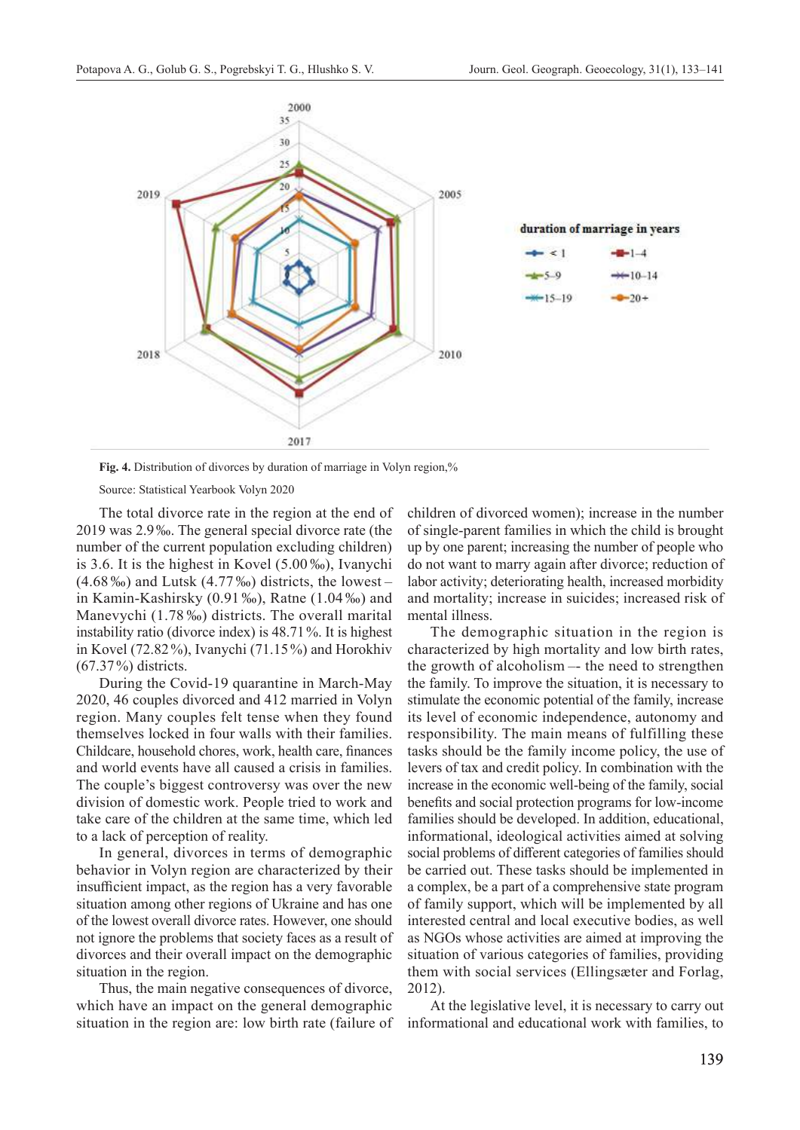

**Fig. 4.** Distribution of divorces by duration of marriage in Volyn region,%

Source: Statistical Yearbook Volyn 2020

The total divorce rate in the region at the end of 2019 was 2.9‰. The general special divorce rate (the number of the current population excluding children) is 3.6. It is the highest in Kovel (5.00‰), Ivanychi  $(4.68\%)$  and Lutsk  $(4.77\%)$  districts, the lowest – in Kamin-Kashirsky (0.91‰), Ratne (1.04‰) and Manevychi (1.78‰) districts. The overall marital instability ratio (divorce index) is 48.71%. It is highest in Kovel (72.82%), Ivanychi (71.15%) and Horokhiv (67.37%) districts.

During the Covid‑19 quarantine in March-May 2020, 46 couples divorced and 412 married in Volyn region. Many couples felt tense when they found themselves locked in four walls with their families. Childcare, household chores, work, health care, finances and world events have all caused a crisis in families. The couple's biggest controversy was over the new division of domestic work. People tried to work and take care of the children at the same time, which led to a lack of perception of reality.

In general, divorces in terms of demographic behavior in Volyn region are characterized by their insufficient impact, as the region has a very favorable situation among other regions of Ukraine and has one of the lowest overall divorce rates. However, one should not ignore the problems that society faces as a result of divorces and their overall impact on the demographic situation in the region.

Thus, the main negative consequences of divorce, which have an impact on the general demographic situation in the region are: low birth rate (failure of children of divorced women); increase in the number of single-parent families in which the child is brought up by one parent; increasing the number of people who do not want to marry again after divorce; reduction of labor activity; deteriorating health, increased morbidity and mortality; increase in suicides; increased risk of mental illness.

The demographic situation in the region is characterized by high mortality and low birth rates, the growth of alcoholism –- the need to strengthen the family. To improve the situation, it is necessary to stimulate the economic potential of the family, increase its level of economic independence, autonomy and responsibility. The main means of fulfilling these tasks should be the family income policy, the use of levers of tax and credit policy. In combination with the increase in the economic well-being of the family, social benefits and social protection programs for low-income families should be developed. In addition, educational, informational, ideological activities aimed at solving social problems of different categories of families should be carried out. These tasks should be implemented in a complex, be a part of a comprehensive state program of family support, which will be implemented by all interested central and local executive bodies, as well as NGOs whose activities are aimed at improving the situation of various categories of families, providing them with social services (Ellingsæter and Forlag, 2012).

At the legislative level, it is necessary to carry out informational and educational work with families, to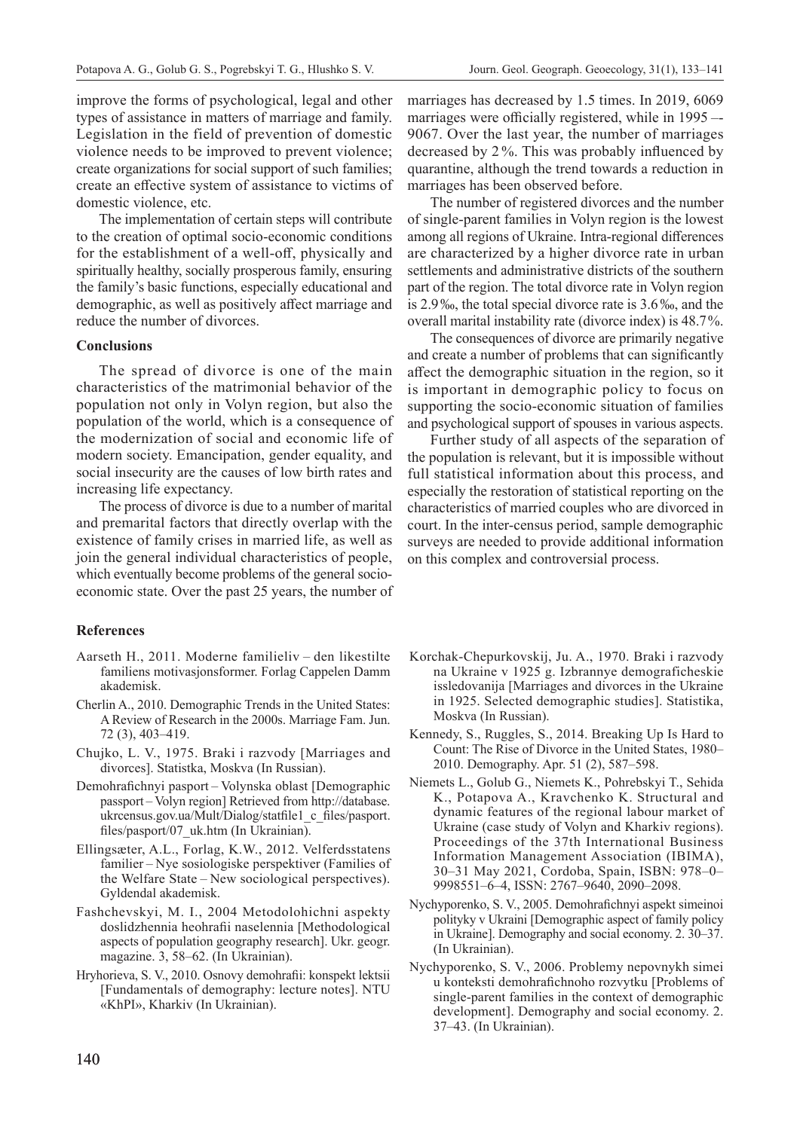improve the forms of psychological, legal and other types of assistance in matters of marriage and family. Legislation in the field of prevention of domestic violence needs to be improved to prevent violence; create organizations for social support of such families; create an effective system of assistance to victims of domestic violence, etc.

The implementation of certain steps will contribute to the creation of optimal socio-economic conditions for the establishment of a well-off, physically and spiritually healthy, socially prosperous family, ensuring the family's basic functions, especially educational and demographic, as well as positively affect marriage and reduce the number of divorces.

#### **Conclusions**

The spread of divorce is one of the main characteristics of the matrimonial behavior of the population not only in Volyn region, but also the population of the world, which is a consequence of the modernization of social and economic life of modern society. Emancipation, gender equality, and social insecurity are the causes of low birth rates and increasing life expectancy.

The process of divorce is due to a number of marital and premarital factors that directly overlap with the existence of family crises in married life, as well as join the general individual characteristics of people, which eventually become problems of the general socioeconomic state. Over the past 25 years, the number of

#### **References**

- Aarseth H., 2011. Moderne familieliv den likestilte familiens motivasjonsformer. Forlag Cappelen Damm akademisk.
- Cherlin A., 2010. Demographic Trends in the United States: A Review of Research in the 2000s. Marriage Fam. Jun. 72 (3), 403–419.
- Chujko, L. V., 1975. Braki i razvody [Marriages and divorces]. Statistka, Moskva (In Russian).
- Demohrafichnyi pasport Volynska oblast [Demographic passport – Volyn region] Retrieved from http://database. ukrcensus.gov.ua/Mult/Dialog/statfile1 c files/pasport. files/pasport/07\_uk.htm (In Ukrainian).
- Ellingsæter, A.L., Forlag, K.W., 2012. Velferdsstatens familier – Nye sosiologiske perspektiver (Families of the Welfare State – New sociological perspectives). Gyldendal akademisk.
- Fashchevskyi, M. I., 2004 Metodolohichni aspekty doslidzhennia heohrafii naselennia [Methodological aspects of population geography research]. Ukr. geogr. magazine. 3, 58–62. (In Ukrainian).
- Hryhorieva, S. V., 2010. Osnovy demohrafii: konspekt lektsii [Fundamentals of demography: lecture notes]. NTU «KhPI», Kharkiv (In Ukrainian).

marriages has decreased by 1.5 times. In 2019, 6069 marriages were officially registered, while in 1995 –- 9067. Over the last year, the number of marriages decreased by 2 %. This was probably influenced by quarantine, although the trend towards a reduction in marriages has been observed before.

The number of registered divorces and the number of single-parent families in Volyn region is the lowest among all regions of Ukraine. Intra-regional differences are characterized by a higher divorce rate in urban settlements and administrative districts of the southern part of the region. The total divorce rate in Volyn region is 2.9‰, the total special divorce rate is 3.6‰, and the overall marital instability rate (divorce index) is 48.7%.

The consequences of divorce are primarily negative and create a number of problems that can significantly affect the demographic situation in the region, so it is important in demographic policy to focus on supporting the socio-economic situation of families and psychological support of spouses in various aspects.

Further study of all aspects of the separation of the population is relevant, but it is impossible without full statistical information about this process, and especially the restoration of statistical reporting on the characteristics of married couples who are divorced in court. In the inter-census period, sample demographic surveys are needed to provide additional information on this complex and controversial process.

- Korchak-Chepurkovskij, Ju. A., 1970. Braki i razvody na Ukraine v 1925 g. Izbrannye demograficheskie issledovanija [Marriages and divorces in the Ukraine in 1925. Selected demographic studies]. Statistika, Moskva (In Russian).
- Kennedy, S., Ruggles, S., 2014. Breaking Up Is Hard to Count: The Rise of Divorce in the United States, 1980– 2010. Demography. Apr. 51 (2), 587–598.
- Niemets L., Golub G., Niemets K., Pohrebskyi T., Sehida K., Potapova A., Kravchenko K. Structural and dynamic features of the regional labour market of Ukraine (case study of Volyn and Kharkiv regions). Proceedings of the 37th International Business Information Management Association (IBIMA), 30–31 May 2021, Cordoba, Spain, ISBN: 978–0– 9998551–6–4, ISSN: 2767–9640, 2090–2098.
- Nychyporenko, S. V., 2005. Demohrafichnyi aspekt simeinoi polityky v Ukraini [Demographic aspect of family policy in Ukraine]. Demography and social economy. 2. 30–37. (In Ukrainian).
- Nychyporenko, S. V., 2006. Problemy nepovnykh simei u konteksti demohrafichnoho rozvytku [Problems of single-parent families in the context of demographic development]. Demography and social economy. 2. 37–43. (In Ukrainian).